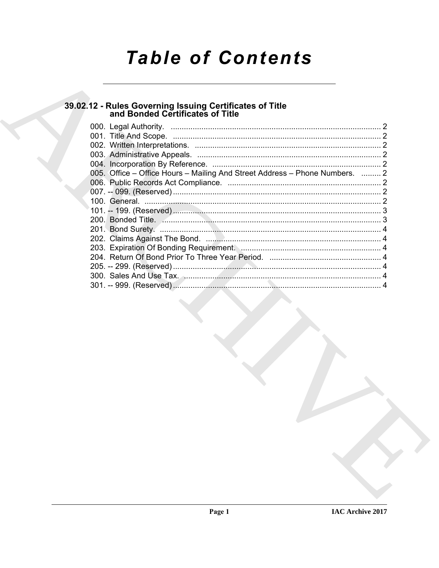# **Table of Contents**

# 39.02.12 - Rules Governing Issuing Certificates of Title<br>and Bonded Certificates of Title

| 005. Office – Office Hours – Mailing And Street Address – Phone Numbers.  2 |  |
|-----------------------------------------------------------------------------|--|
|                                                                             |  |
|                                                                             |  |
|                                                                             |  |
|                                                                             |  |
|                                                                             |  |
|                                                                             |  |
|                                                                             |  |
|                                                                             |  |
|                                                                             |  |
|                                                                             |  |
|                                                                             |  |
|                                                                             |  |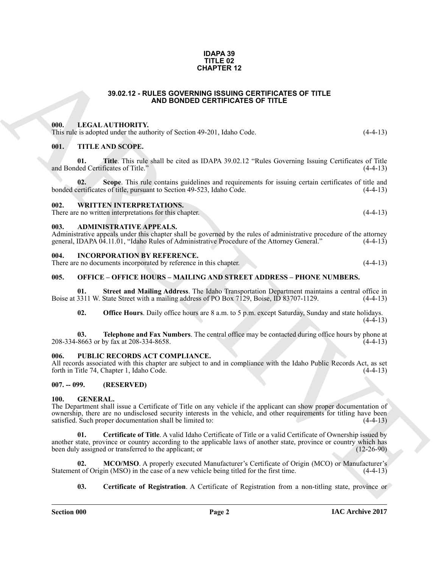#### **IDAPA 39 TITLE 02 CHAPTER 12**

#### **39.02.12 - RULES GOVERNING ISSUING CERTIFICATES OF TITLE AND BONDED CERTIFICATES OF TITLE**

#### <span id="page-1-1"></span><span id="page-1-0"></span>**000. LEGAL AUTHORITY.**

This rule is adopted under the authority of Section 49-201, Idaho Code. (4-4-13)

#### <span id="page-1-2"></span>**001. TITLE AND SCOPE.**

**01. Title**. This rule shall be cited as IDAPA 39.02.12 "Rules Governing Issuing Certificates of Title and Bonded Certificates of Title." (4-4-13)

**02.** Scope. This rule contains guidelines and requirements for issuing certain certificates of title and ertificates of title, pursuant to Section 49-523, Idaho Code. (4-4-13) bonded certificates of title, pursuant to Section 49-523, Idaho Code.

#### <span id="page-1-3"></span>**002. WRITTEN INTERPRETATIONS.**

There are no written interpretations for this chapter. (4-4-13)

#### <span id="page-1-4"></span>**003. ADMINISTRATIVE APPEALS.**

Administrative appeals under this chapter shall be governed by the rules of administrative procedure of the attorney general, IDAPA 04.11.01, "Idaho Rules of Administrative Procedure of the Attorney General." (4-4-13)

#### <span id="page-1-5"></span>**INCORPORATION BY REFERENCE.**

There are no documents incorporated by reference in this chapter. (4-4-13)

#### <span id="page-1-6"></span>**005. OFFICE – OFFICE HOURS – MAILING AND STREET ADDRESS – PHONE NUMBERS.**

**01.** Street and Mailing Address. The Idaho Transportation Department maintains a central office in 3311 W. State Street with a mailing address of PO Box 7129, Boise, ID 83707-1129. Boise at 3311 W. State Street with a mailing address of PO Box 7129, Boise, ID 83707-1129.

**02. Office Hours**. Daily office hours are 8 a.m. to 5 p.m. except Saturday, Sunday and state holidays.  $(4-4-13)$ 

**03. Telephone and Fax Numbers**. The central office may be contacted during office hours by phone at  $8663$  or by fax at 208-334-8658. 208-334-8663 or by fax at 208-334-8658.

#### <span id="page-1-7"></span>**006. PUBLIC RECORDS ACT COMPLIANCE.**

All records associated with this chapter are subject to and in compliance with the Idaho Public Records Act, as set forth in Title 74, Chapter 1, Idaho Code. (4-4-13)

#### <span id="page-1-8"></span>**007. -- 099. (RESERVED)**

#### <span id="page-1-10"></span><span id="page-1-9"></span>**100. GENERAL.**

<span id="page-1-12"></span>The Department shall issue a Certificate of Title on any vehicle if the applicant can show proper documentation of ownership, there are no undisclosed security interests in the vehicle, and other requirements for titling have been satisfied. Such proper documentation shall be limited to: satisfied. Such proper documentation shall be limited to:

**39.02.12 - ROLES GOVERNER 12**<br> **ARCHIVENTS:**<br> **ARCHIVENTS:**<br> **ARCHIVENTS:**<br> **ARCHIVENTS:**<br> **ARCHIVENTS:**<br> **ARCHIVENTS:**<br> **ARCHIVENTS:**<br> **ARCHIVENTS:**<br> **ARCHIVENTS:**<br> **ARCHIVENTS:**<br> **ARCHIVENTS:**<br> **ARCHIVENTS:**<br> **ARCHIVEN 01. Certificate of Title**. A valid Idaho Certificate of Title or a valid Certificate of Ownership issued by another state, province or country according to the applicable laws of another state, province or country which has been duly assigned or transferred to the applicant; or (12-26-90) been duly assigned or transferred to the applicant; or

**02. MCO/MSO**. A properly executed Manufacturer's Certificate of Origin (MCO) or Manufacturer's Statement of Origin (MSO) in the case of a new vehicle being titled for the first time. (4-4-13)

#### <span id="page-1-13"></span><span id="page-1-11"></span>**03. Certificate of Registration**. A Certificate of Registration from a non-titling state, province or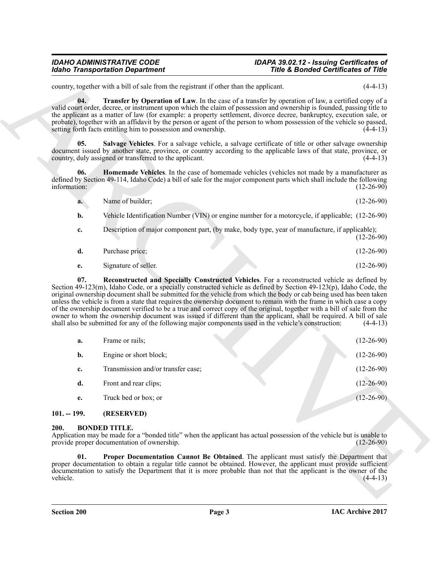#### <span id="page-2-7"></span>*IDAHO ADMINISTRATIVE CODE IDAPA 39.02.12 - Issuing Certificates of Title & Bonded Certificates of Title*

<span id="page-2-6"></span><span id="page-2-4"></span>

| <b>a.</b> | Name of builder; |  | $(12-26-90)$ |
|-----------|------------------|--|--------------|
|-----------|------------------|--|--------------|

- **b.** Vehicle Identification Number (VIN) or engine number for a motorcycle, if applicable; (12-26-90)
- **c.** Description of major component part, (by make, body type, year of manufacture, if applicable);  $(12-26-90)$
- **d.** Purchase price; (12-26-90)
- <span id="page-2-5"></span>**e.** Signature of seller. (12-26-90)

| country, together with a bill of sale from the registrant if other than the applicant.                                                                                                                                                                                                                                                                                                                                                                                                                                                                                                                                                                                                                                                                                                                                                   |                                                                                                                                       |
|------------------------------------------------------------------------------------------------------------------------------------------------------------------------------------------------------------------------------------------------------------------------------------------------------------------------------------------------------------------------------------------------------------------------------------------------------------------------------------------------------------------------------------------------------------------------------------------------------------------------------------------------------------------------------------------------------------------------------------------------------------------------------------------------------------------------------------------|---------------------------------------------------------------------------------------------------------------------------------------|
|                                                                                                                                                                                                                                                                                                                                                                                                                                                                                                                                                                                                                                                                                                                                                                                                                                          | $(4-4-13)$                                                                                                                            |
| 04.<br><b>Transfer by Operation of Law</b> . In the case of a transfer by operation of law, a certified copy of a<br>valid court order, decree, or instrument upon which the claim of possession and ownership is founded, passing title to<br>the applicant as a matter of law (for example: a property settlement, divorce decree, bankruptcy, execution sale, or<br>probate), together with an affidavit by the person or agent of the person to whom possession of the vehicle so passed,<br>setting forth facts entitling him to possession and ownership.                                                                                                                                                                                                                                                                          | $(4-4-13)$                                                                                                                            |
| Salvage Vehicles. For a salvage vehicle, a salvage certificate of title or other salvage ownership<br>05.<br>document issued by another state, province, or country according to the applicable laws of that state, province, or<br>country, duly assigned or transferred to the applicant.                                                                                                                                                                                                                                                                                                                                                                                                                                                                                                                                              | $(4-4-13)$                                                                                                                            |
| 06.<br><b>Homemade Vehicles</b> . In the case of homemade vehicles (vehicles not made by a manufacturer as<br>defined by Section 49-114, Idaho Code) a bill of sale for the major component parts which shall include the following<br>information:                                                                                                                                                                                                                                                                                                                                                                                                                                                                                                                                                                                      | $(12-26-90)$                                                                                                                          |
| Name of builder;<br>a.                                                                                                                                                                                                                                                                                                                                                                                                                                                                                                                                                                                                                                                                                                                                                                                                                   | $(12-26-90)$                                                                                                                          |
| Vehicle Identification Number (VIN) or engine number for a motorcycle, if applicable; (12-26-90)<br>b.                                                                                                                                                                                                                                                                                                                                                                                                                                                                                                                                                                                                                                                                                                                                   |                                                                                                                                       |
| Description of major component part, (by make, body type, year of manufacture, if applicable);<br>c.                                                                                                                                                                                                                                                                                                                                                                                                                                                                                                                                                                                                                                                                                                                                     | $(12-26-90)$                                                                                                                          |
| d.<br>Purchase price;                                                                                                                                                                                                                                                                                                                                                                                                                                                                                                                                                                                                                                                                                                                                                                                                                    | $(12-26-90)$                                                                                                                          |
| Signature of seller.<br>e.                                                                                                                                                                                                                                                                                                                                                                                                                                                                                                                                                                                                                                                                                                                                                                                                               | $(12-26-90)$                                                                                                                          |
| Reconstructed and Specially Constructed Vehicles. For a reconstructed vehicle as defined by<br>07.<br>Section $49-123(m)$ , Idaho Code, or a specially constructed vehicle as defined by Section $49-123(p)$ , Idaho Code, the<br>original ownership document shall be submitted for the vehicle from which the body or cab being used has been taken<br>unless the vehicle is from a state that requires the ownership document to remain with the frame in which case a copy<br>of the ownership document verified to be a true and correct copy of the original, together with a bill of sale from the<br>owner to whom the ownership document was issued if different than the applicant, shall be required. A bill of sale<br>shall also be submitted for any of the following major components used in the vehicle's construction: | $(4-4-13)$                                                                                                                            |
| Frame or rails;<br>a.                                                                                                                                                                                                                                                                                                                                                                                                                                                                                                                                                                                                                                                                                                                                                                                                                    | $(12-26-90)$                                                                                                                          |
| Engine or short block;<br>b.                                                                                                                                                                                                                                                                                                                                                                                                                                                                                                                                                                                                                                                                                                                                                                                                             | $(12-26-90)$                                                                                                                          |
| Transmission and/or transfer case;<br>c.                                                                                                                                                                                                                                                                                                                                                                                                                                                                                                                                                                                                                                                                                                                                                                                                 | $(12-26-90)$                                                                                                                          |
| d.<br>Front and rear clips;                                                                                                                                                                                                                                                                                                                                                                                                                                                                                                                                                                                                                                                                                                                                                                                                              | $(12 - 26 - 90)$                                                                                                                      |
| Truck bed or box; or<br>e.                                                                                                                                                                                                                                                                                                                                                                                                                                                                                                                                                                                                                                                                                                                                                                                                               | $(12-26-90)$                                                                                                                          |
| $101. - 199.$<br>(RESERVED)                                                                                                                                                                                                                                                                                                                                                                                                                                                                                                                                                                                                                                                                                                                                                                                                              |                                                                                                                                       |
| <b>BONDED TITLE.</b><br>200.                                                                                                                                                                                                                                                                                                                                                                                                                                                                                                                                                                                                                                                                                                                                                                                                             | Application may be made for a "bonded title" when the applicant has actual possession of the vehicle but is unable to<br>$(12-26-90)$ |
| provide proper documentation of ownership.                                                                                                                                                                                                                                                                                                                                                                                                                                                                                                                                                                                                                                                                                                                                                                                               |                                                                                                                                       |
| Proper Documentation Cannot Be Obtained. The applicant must satisfy the Department that<br>01.<br>proper documentation to obtain a regular title cannot be obtained. However, the applicant must provide sufficient<br>documentation to satisfy the Department that it is more probable than not that the applicant is the owner of the<br>vehicle.                                                                                                                                                                                                                                                                                                                                                                                                                                                                                      | $(4-4-13)$                                                                                                                            |

### <span id="page-2-3"></span><span id="page-2-2"></span><span id="page-2-1"></span><span id="page-2-0"></span>**200. BONDED TITLE.**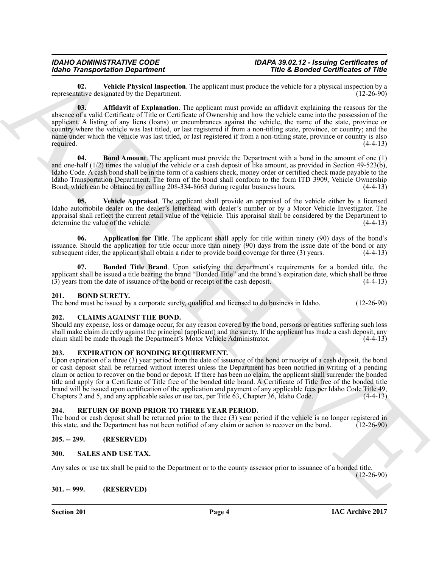<span id="page-3-13"></span><span id="page-3-8"></span>**02.** Vehicle Physical Inspection. The applicant must produce the vehicle for a physical inspection by a tative designated by the Department. representative designated by the Department.

Globe Transportation Department. The applicant and positive changes in the spin of the spin of the spin of the spin of the spin of the spin of the spin of the spin of the spin of the spin of the spin of the spin of the sp **03. Affidavit of Explanation**. The applicant must provide an affidavit explaining the reasons for the absence of a valid Certificate of Title or Certificate of Ownership and how the vehicle came into the possession of the applicant. A listing of any liens (loans) or encumbrances against the vehicle, the name of the state, province or country where the vehicle was last titled, or last registered if from a non-titling state, province, or country; and the name under which the vehicle was last titled, or last registered if from a non-titling state, province or country is also required. (4-4-13) required. (4-4-13)

<span id="page-3-10"></span>**04. Bond Amount**. The applicant must provide the Department with a bond in the amount of one (1) and one-half  $(1/2)$  times the value of the vehicle or a cash deposit of like amount, as provided in Section 49-523(b), Idaho Code. A cash bond shall be in the form of a cashiers check, money order or certified check made payable to the Idaho Transportation Department. The form of the bond shall conform to the form ITD 3909, Vehicle Ownership Bond, which can be obtained by calling 208-334-8663 during regular business hours. (4-4-13)

<span id="page-3-12"></span>**05. Vehicle Appraisal**. The applicant shall provide an appraisal of the vehicle either by a licensed Idaho automobile dealer on the dealer's letterhead with dealer's number or by a Motor Vehicle Investigator. The appraisal shall reflect the current retail value of the vehicle. This appraisal shall be considered by the Department to determine the value of the vehicle. (4-4-13)

<span id="page-3-9"></span>**06. Application for Title**. The applicant shall apply for title within ninety (90) days of the bond's issuance. Should the application for title occur more than ninety (90) days from the issue date of the bond or any subsequent rider, the applicant shall obtain a rider to provide bond coverage for three (3) years. (4-4-13) subsequent rider, the applicant shall obtain a rider to provide bond coverage for three  $(3)$  years.

<span id="page-3-11"></span>**07. Bonded Title Brand**. Upon satisfying the department's requirements for a bonded title, the applicant shall be issued a title bearing the brand "Bonded Title" and the brand's expiration date, which shall be three (3) years from the date of issuance of the bond or receipt of the cash deposit. (4-4-13)

### <span id="page-3-7"></span><span id="page-3-0"></span>**201. BOND SURETY.**

The bond must be issued by a corporate surety, qualified and licensed to do business in Idaho. (12-26-90)

### <span id="page-3-14"></span><span id="page-3-1"></span>**202. CLAIMS AGAINST THE BOND.**

Should any expense, loss or damage occur, for any reason covered by the bond, persons or entities suffering such loss shall make claim directly against the principal (applicant) and the surety. If the applicant has made a cash deposit, any claim shall be made through the Department's Motor Vehicle Administrator. (4-4-13) claim shall be made through the Department's Motor Vehicle Administrator.

#### <span id="page-3-15"></span><span id="page-3-2"></span>**203. EXPIRATION OF BONDING REQUIREMENT.**

Upon expiration of a three (3) year period from the date of issuance of the bond or receipt of a cash deposit, the bond or cash deposit shall be returned without interest unless the Department has been notified in writing of a pending claim or action to recover on the bond or deposit. If there has been no claim, the applicant shall surrender the bonded title and apply for a Certificate of Title free of the bonded title brand. A Certificate of Title free of the bonded title brand will be issued upon certification of the application and payment of any applicable fees per Idaho Code Title 49, Chapters 2 and 5, and any applicable sales or use tax, per Title 63, Chapter 36, Idaho Code.

#### <span id="page-3-16"></span><span id="page-3-3"></span>**204. RETURN OF BOND PRIOR TO THREE YEAR PERIOD.**

The bond or cash deposit shall be returned prior to the three (3) year period if the vehicle is no longer registered in this state, and the Department has not been notified of any claim or action to recover on the bond. (1 this state, and the Department has not been notified of any claim or action to recover on the bond.

### <span id="page-3-4"></span>**205. -- 299. (RESERVED)**

### <span id="page-3-17"></span><span id="page-3-5"></span>**300. SALES AND USE TAX.**

Any sales or use tax shall be paid to the Department or to the county assessor prior to issuance of a bonded title.

<span id="page-3-6"></span>**301. -- 999. (RESERVED)**

**Section 201 Page 4**

(12-26-90)